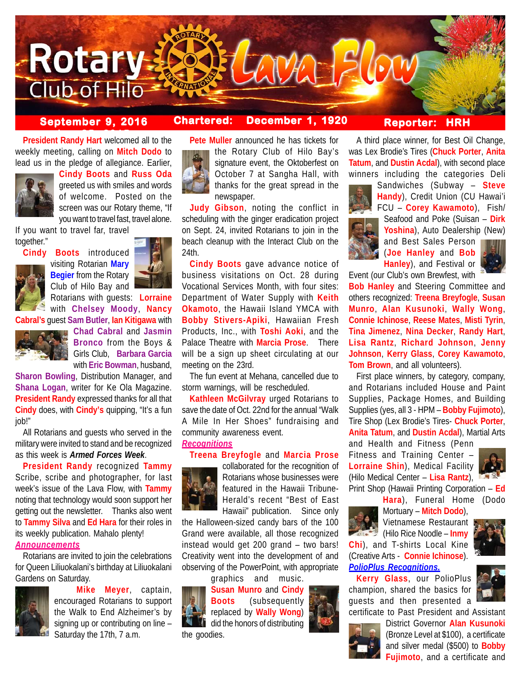

# **September 9, 2016 Chartered: December 1, 1920**

**Reporter: HRH**

**President Randy Hart** welcomed all to the weekly meeting, calling on **Mitch Dodo** to lead us in the pledge of allegiance. Earlier,



**Cindy Boots** and **Russ Oda** greeted us with smiles and words of welcome. Posted on the screen was our Rotary theme, "If you want to travel fast, travel alone.

If you want to travel far, travel together."



**Cindy Boots** introduced visiting Rotarian **Mary Begier** from the Rotary Club of Hilo Bay and

Rotarians with guests: **Lorraine** with **Chelsey Moody**, **Nancy Cabral's** guest **Sam Butler**, **Ian Kitigawa** with



**Chad Cabral** and **Jasmin Bronco** from the Boys & Girls Club, **Barbara Garcia** with **Eric Bowman**, husband,

**Sharon Bowling**, Distribution Manager, and **Shana Logan**, writer for Ke Ola Magazine. **President Randy** expressed thanks for all that **Cindy** does, with **Cindy's** quipping, "It's a fun job!"

All Rotarians and guests who served in the military were invited to stand and be recognized as this week is *Armed Forces Week*.

**President Randy** recognized **Tammy** Scribe, scribe and photographer, for last week's issue of the Lava Flow, with **Tammy** noting that technology would soon support her getting out the newsletter. Thanks also went to **Tammy Silva** and **Ed Hara** for their roles in its weekly publication. Mahalo plenty! *Announcements*

Rotarians are invited to join the celebrations for Queen Liliuokalani's birthday at Liliuokalani Gardens on Saturday.



**Mike Meyer**, captain, encouraged Rotarians to support the Walk to End Alzheimer's by signing up or contributing on line – Saturday the 17th, 7 a.m.



**Pete Muller** announced he has tickets for the Rotary Club of Hilo Bay's signature event, the Oktoberfest on October 7 at Sangha Hall, with thanks for the great spread in the newspaper.

**Judy Gibson**, noting the conflict in scheduling with the ginger eradication project on Sept. 24, invited Rotarians to join in the beach cleanup with the Interact Club on the 24th.

**Cindy Boots** gave advance notice of business visitations on Oct. 28 during Vocational Services Month, with four sites: Department of Water Supply with **Keith Okamoto**, the Hawaii Island YMCA with **Bobby Stivers-Apiki**, Hawaiian Fresh Products, Inc., with **Toshi Aoki**, and the Palace Theatre with **Marcia Prose**. There will be a sign up sheet circulating at our meeting on the 23rd.

The fun event at Mehana, cancelled due to storm warnings, will be rescheduled.

**Kathleen McGilvray** urged Rotarians to save the date of Oct. 22nd for the annual "Walk A Mile In Her Shoes" fundraising and community awareness event. *Recognitions*

## **Treena Breyfogle** and **Marcia Prose**



collaborated for the recognition of Rotarians whose businesses were featured in the Hawaii Tribune-Herald's recent "Best of East Hawaii" publication. Since only

the Halloween-sized candy bars of the 100 Grand were available, all those recognized instead would get 200 grand – two bars! Creativity went into the development of and observing of the PowerPoint, with appropriate

graphics and music.

**Susan Munro** and **Cindy Boots** (subsequently replaced by **Wally Wong**) did the honors of distributing the goodies.

A third place winner, for Best Oil Change, was Lex Brodie's Tires (**Chuck Porter**, **Anita Tatum**, and **Dustin Acdal**), with second place winners including the categories Deli



Sandwiches (Subway – **Steve Handy**), Credit Union (CU Hawai'i FCU – **Corey Kawamoto**), Fish/ Seafood and Poke (Suisan – **Dirk Yoshina**), Auto Dealership (New) and Best Sales Person

(**Joe Hanley** and **Bob Hanley**), and Festival or

Event (our Club's own Brewfest, with **Bob Hanley** and Steering Committee and others recognized: **Treena Breyfogle**, **Susan Munro**, **Alan Kusunoki**, **Wally Wong**, **Connie Ichinose**, **Reese Mates**, **Misti Tyrin**, **Tina Jimenez**, **Nina Decker**, **Randy Hart**, **Lisa Rantz**, **Richard Johnson**, **Jenny Johnson**, **Kerry Glass**, **Corey Kawamoto**,

**Tom Brown**, and all volunteers).

First place winners, by category, company, and Rotarians included House and Paint Supplies, Package Homes, and Building Supplies (yes, all 3 - HPM – **Bobby Fujimoto**), Tire Shop (Lex Brodie's Tires- **Chuck Porter**, **Anita Tatum**, and **Dustin Acdal**), Martial Arts

and Health and Fitness (Penn Fitness and Training Center – **Lorraine Shin**), Medical Facility (Hilo Medical Center – **Lisa Rantz**), Print Shop (Hawaii Printing Corporation – **Ed**

**Hara**), Funeral Home (Dodo



Mortuary – **Mitch Dodo**), Vietnamese Restaurant (Hilo Rice Noodle – **Inmy Chi**), and T-shirts Local Kine



# *PolioPlus Recognitions.*

**Kerry Glass**, our PolioPlus champion, shared the basics for guests and then presented a

(Creative Arts - **Connie Ichinose**).



certificate to Past President and Assistant District Governor **Alan Kusunoki**



(Bronze Level at \$100), a certificate and silver medal (\$500) to **Bobby Fujimoto**, and a certificate and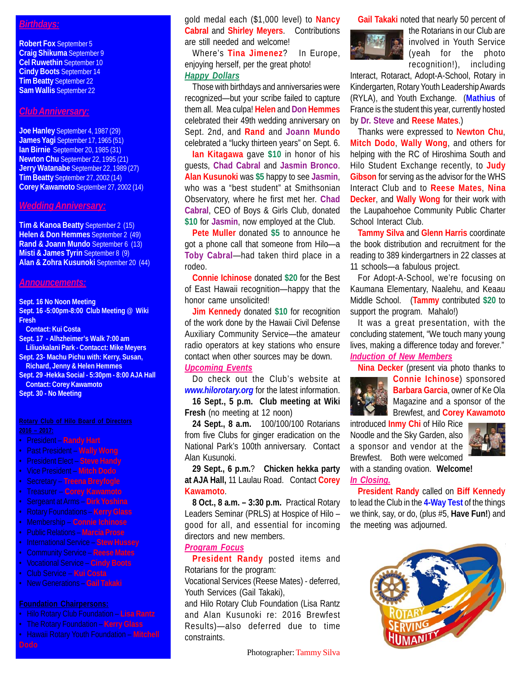# *Birthdays:*

**Robert Fox** September 5 **Craig Shikuma** September 9 **Cel Ruwethin** September 10 **Cindy Boots** September 14 **Tim Beatty** September 22 **Sam Wallis** September 22

## *Club Anniversary:*

**Joe Hanley** September 4, 1987 (29) **James Yagi** September 17, 1965 (51) **Ian Birnie** September 20, 1985 (31) **Newton Chu** September 22, 1995 (21) **Jerry Watanabe** September 22, 1989 (27) **Tim Beatty** September 27, 2002 (14) **Corey Kawamoto** September 27, 2002 (14)

### *Wedding Anniversary:*

**Tim & Kanoa Beatty** September 2 (15) **Helen & Don Hemmes** September 2 (49) **Rand & Joann Mundo** September 6 (13) **Misti & James Tyrin September 8 (9) Alan & Zohra Kusunoki** September 20 (44)

### *Announcements:*

**Sept. 16 No Noon Meeting Sept. 16 -5:00pm-8:00 Club Meeting @ Wiki Fresh**

**Contact: Kui Costa**

**Sept. 17 - Alhzheimer's Walk 7:00 am Liliuokalani Park - Contacct: Mike Meyers Sept. 23- Machu Pichu with: Kerry, Susan, Richard, Jenny & Helen Hemmes Sept. 29 -Hekka Social - 5:30pm - 8:00 AJA Hall**

**Contact: Corey Kawamoto Sept. 30 - No Meeting**

- 
- President **Randy Hart** • Past President – **Wally Wong**
- President Elect **Steve Handy**
- Vice President **Mitch Dodo**
- Secretary **Treena Breyfogle**
- Treasurer **Corey Kawamoto**
- Sergeant at Arms **Dirk Yoshina**
- 
- Rotary Foundations **Kerry Glass** • Membership – **Connie Ichinose**
- Public Relations **Marcia Prose**
- International Service **Stew Hussey**
- Community Service **Reese Mates**
- Vocational Service **Cindy Boots**
- Club Service **Kui Costa**
- New Generations **Gail Takaki**

- Hilo Rotary Club Foundation **Lisa Rantz**
- The Rotary Foundation **Kerry Glass**
- Hawaii Rotary Youth Foundation **Mitchell**

gold medal each (\$1,000 level) to **Nancy Cabral** and **Shirley Meyers**. Contributions are still needed and welcome!

Where's **Tina Jimenez**? In Europe, enjoying herself, per the great photo! *Happy Dollars*

Those with birthdays and anniversaries were recognized—but your scribe failed to capture them all. Mea culpa! **Helen** and **Don Hemmes** celebrated their 49th wedding anniversary on Sept. 2nd, and **Rand** and **Joann Mundo** celebrated a "lucky thirteen years" on Sept. 6.

**Ian Kitagawa** gave **\$10** in honor of his guests, **Chad Cabral** and **Jasmin Bronco**. **Alan Kusunoki** was **\$5** happy to see **Jasmin**, who was a "best student" at Smithsonian Observatory, where he first met her. **Chad Cabral**, CEO of Boys & Girls Club, donated **\$10** for **Jasmin**, now employed at the Club.

**Pete Muller** donated **\$5** to announce he got a phone call that someone from Hilo—a **Toby Cabral**—had taken third place in a rodeo.

**Connie Ichinose** donated **\$20** for the Best of East Hawaii recognition—happy that the honor came unsolicited!

**Jim Kennedy** donated **\$10** for recognition of the work done by the Hawaii Civil Defense Auxiliary Community Service—the amateur radio operators at key stations who ensure contact when other sources may be down. *Upcoming Events*

Do check out the Club's website at *www.hilorotary.org* for the latest information. **16 Sept., 5 p.m. Club meeting at Wiki**

**Fresh** (no meeting at 12 noon)

**24 Sept., 8 a.m.** 100/100/100 Rotarians from five Clubs for ginger eradication on the National Park's 100th anniversary. Contact Alan Kusunoki.

**29 Sept., 6 p.m.**? **Chicken hekka party at AJA Hall,** 11 Laulau Road. Contact **Corey Kawamoto**.

**8 Oct., 8 a.m. – 3:30 p.m.** Practical Rotary Leaders Seminar (PRLS) at Hospice of Hilo – good for all, and essential for incoming directors and new members.

## *Program Focus*

**President Randy** posted items and Rotarians for the program:

Vocational Services (Reese Mates) - deferred, Youth Services (Gail Takaki),

and Hilo Rotary Club Foundation (Lisa Rantz and Alan Kusunoki re: 2016 Brewfest Results)—also deferred due to time constraints.

**Gail Takaki** noted that nearly 50 percent of



the Rotarians in our Club are involved in Youth Service (yeah for the photo recognition!), including

Interact, Rotaract, Adopt-A-School, Rotary in Kindergarten, Rotary Youth Leadership Awards (RYLA), and Youth Exchange. (**Mathius** of France is the student this year, currently hosted by **Dr. Steve** and **Reese Mates**.)

Thanks were expressed to **Newton Chu**, **Mitch Dodo**, **Wally Wong**, and others for helping with the RC of Hiroshima South and Hilo Student Exchange recently, to **Judy Gibson** for serving as the advisor for the WHS Interact Club and to **Reese Mates**, **Nina Decker**, and **Wally Wong** for their work with the Laupahoehoe Community Public Charter School Interact Club.

**Tammy Silva** and **Glenn Harris** coordinate the book distribution and recruitment for the reading to 389 kindergartners in 22 classes at 11 schools—a fabulous project.

For Adopt-A-School, we're focusing on Kaumana Elementary, Naalehu, and Keaau Middle School. (**Tammy** contributed **\$20** to support the program. Mahalo!)

It was a great presentation, with the concluding statement, "We touch many young lives, making a difference today and forever."

# *Induction of New Members*

**Nina Decker** (present via photo thanks to



**Connie Ichinose**) sponsored **Barbara Garcia**, owner of Ke Ola Magazine and a sponsor of the **B** Brewfest, and **Corey Kawamoto** 

introduced **Inmy Chi** of Hilo Rice Noodle and the Sky Garden, also a sponsor and vendor at the Brewfest. Both were welcomed



with a standing ovation. **Welcome!** *In Closing.*

**President Randy** called on **Biff Kennedy** to lead the Club in the **4-Way Test** of the things we think, say, or do, (plus #5, **Have Fun!**) and the meeting was adjourned.